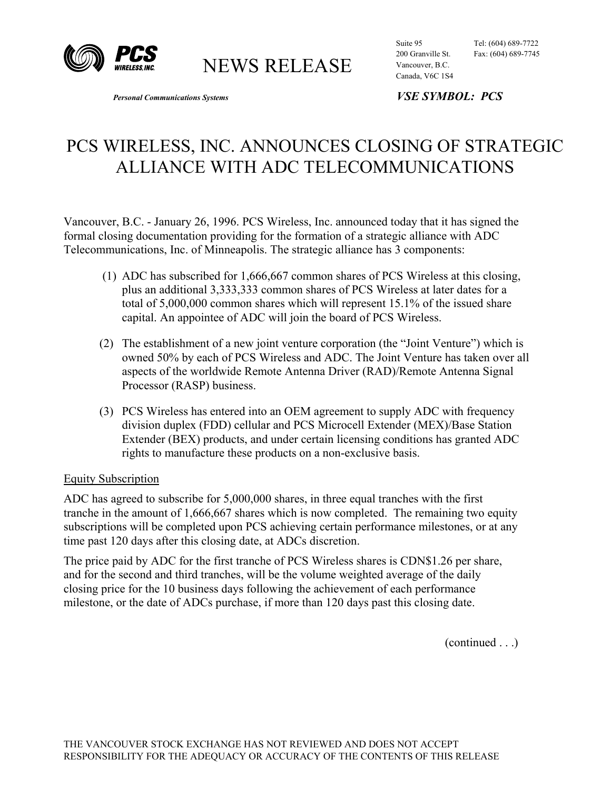

NEWS RELEASE

Suite 95 Tel: (604) 689-7722 200 Granville St. Fax: (604) 689-7745 Vancouver, B.C.

*Personal Communications Systems VSE SYMBOL: PCS* 

Canada, V6C 1S4

## PCS WIRELESS, INC. ANNOUNCES CLOSING OF STRATEGIC ALLIANCE WITH ADC TELECOMMUNICATIONS

Vancouver, B.C. - January 26, 1996. PCS Wireless, Inc. announced today that it has signed the formal closing documentation providing for the formation of a strategic alliance with ADC Telecommunications, Inc. of Minneapolis. The strategic alliance has 3 components:

- (1) ADC has subscribed for 1,666,667 common shares of PCS Wireless at this closing, plus an additional 3,333,333 common shares of PCS Wireless at later dates for a total of 5,000,000 common shares which will represent 15.1% of the issued share capital. An appointee of ADC will join the board of PCS Wireless.
- (2) The establishment of a new joint venture corporation (the "Joint Venture") which is owned 50% by each of PCS Wireless and ADC. The Joint Venture has taken over all aspects of the worldwide Remote Antenna Driver (RAD)/Remote Antenna Signal Processor (RASP) business.
- (3) PCS Wireless has entered into an OEM agreement to supply ADC with frequency division duplex (FDD) cellular and PCS Microcell Extender (MEX)/Base Station Extender (BEX) products, and under certain licensing conditions has granted ADC rights to manufacture these products on a non-exclusive basis.

## Equity Subscription

ADC has agreed to subscribe for 5,000,000 shares, in three equal tranches with the first tranche in the amount of 1,666,667 shares which is now completed. The remaining two equity subscriptions will be completed upon PCS achieving certain performance milestones, or at any time past 120 days after this closing date, at ADCs discretion.

The price paid by ADC for the first tranche of PCS Wireless shares is CDN\$1.26 per share, and for the second and third tranches, will be the volume weighted average of the daily closing price for the 10 business days following the achievement of each performance milestone, or the date of ADCs purchase, if more than 120 days past this closing date.

(continued . . .)